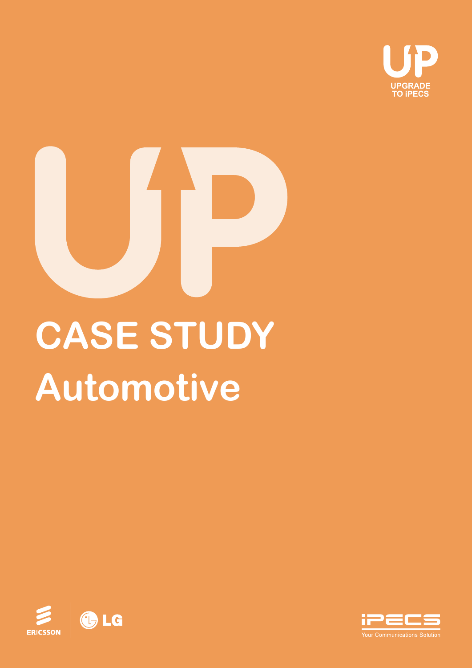

# **Automotive CASE STUDY**



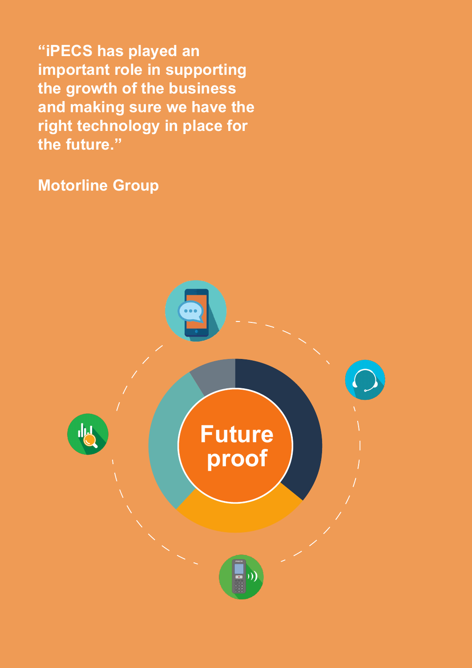**"iPECS has played an important role in supporting the growth of the business and making sure we have the right technology in place for the future."** 

**Motorline Group**

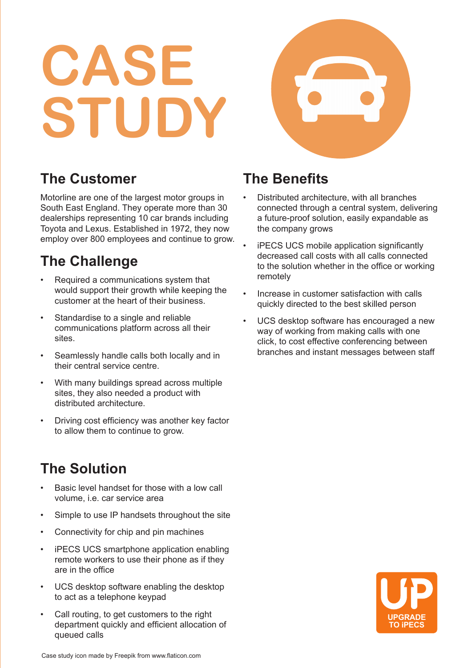# **CASE STUDY**



### **The Customer**

Motorline are one of the largest motor groups in South East England. They operate more than 30 dealerships representing 10 car brands including Toyota and Lexus. Established in 1972, they now employ over 800 employees and continue to grow.

# **The Challenge**

- Required a communications system that would support their growth while keeping the customer at the heart of their business.
- Standardise to a single and reliable communications platform across all their sites.
- Seamlessly handle calls both locally and in their central service centre.
- With many buildings spread across multiple sites, they also needed a product with distributed architecture.
- Driving cost efficiency was another key factor to allow them to continue to grow.

# **The Solution**

- Basic level handset for those with a low call volume, i.e. car service area
- Simple to use IP handsets throughout the site
- Connectivity for chip and pin machines
- iPECS UCS smartphone application enabling remote workers to use their phone as if they are in the office
- UCS desktop software enabling the desktop to act as a telephone keypad
- Call routing, to get customers to the right department quickly and efficient allocation of queued calls

### **The Benefits**

- Distributed architecture, with all branches connected through a central system, delivering a future-proof solution, easily expandable as the company grows
- iPECS UCS mobile application significantly decreased call costs with all calls connected to the solution whether in the office or working remotely
- Increase in customer satisfaction with calls quickly directed to the best skilled person
- UCS desktop software has encouraged a new way of working from making calls with one click, to cost effective conferencing between branches and instant messages between staff